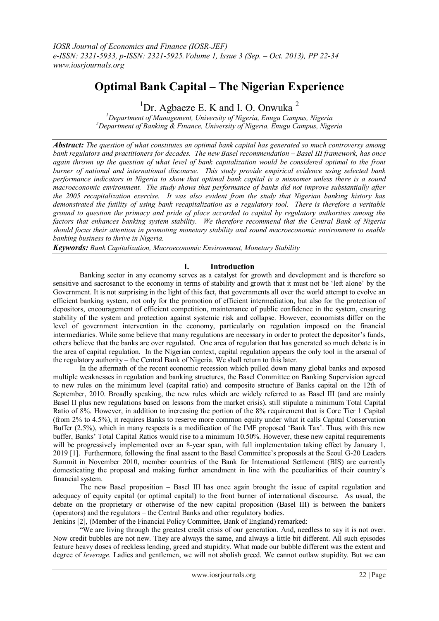# **Optimal Bank Capital – The Nigerian Experience**

<sup>1</sup>Dr. Agbaeze E. K and I. O. Onwuka<sup>2</sup>

*<sup>1</sup>Department of Management, University of Nigeria, Enugu Campus, Nigeria <sup>2</sup>Department of Banking & Finance, University of Nigeria, Enugu Campus, Nigeria*

*Abstract: The question of what constitutes an optimal bank capital has generated so much controversy among bank regulators and practitioners for decades. The new Basel recommendation – Basel III framework, has once again thrown up the question of what level of bank capitalization would be considered optimal to the front burner of national and international discourse. This study provide empirical evidence using selected bank performance indicators in Nigeria to show that optimal bank capital is a misnomer unless there is a sound macroeconomic environment. The study shows that performance of banks did not improve substantially after the 2005 recapitalization exercise. It was also evident from the study that Nigerian banking history has demonstrated the futility of using bank recapitalization as a regulatory tool. There is therefore a veritable ground to question the primacy and pride of place accorded to capital by regulatory authorities among the factors that enhances banking system stability. We therefore recommend that the Central Bank of Nigeria should focus their attention in promoting monetary stability and sound macroeconomic environment to enable banking business to thrive in Nigeria.*

*Keywords: Bank Capitalization, Macroeconomic Environment, Monetary Stability*

## **I. Introduction**

Banking sector in any economy serves as a catalyst for growth and development and is therefore so sensitive and sacrosanct to the economy in terms of stability and growth that it must not be "left alone" by the Government. It is not surprising in the light of this fact, that governments all over the world attempt to evolve an efficient banking system, not only for the promotion of efficient intermediation, but also for the protection of depositors, encouragement of efficient competition, maintenance of public confidence in the system, ensuring stability of the system and protection against systemic risk and collapse. However, economists differ on the level of government intervention in the economy, particularly on regulation imposed on the financial intermediaries. While some believe that many regulations are necessary in order to protect the depositor's funds, others believe that the banks are over regulated. One area of regulation that has generated so much debate is in the area of capital regulation. In the Nigerian context, capital regulation appears the only tool in the arsenal of the regulatory authority – the Central Bank of Nigeria. We shall return to this later.

In the aftermath of the recent economic recession which pulled down many global banks and exposed multiple weaknesses in regulation and banking structures, the Basel Committee on Banking Supervision agreed to new rules on the minimum level (capital ratio) and composite structure of Banks capital on the 12th of September, 2010. Broadly speaking, the new rules which are widely referred to as Basel III (and are mainly Basel II plus new regulations based on lessons from the market crisis), still stipulate a minimum Total Capital Ratio of 8%. However, in addition to increasing the portion of the 8% requirement that is Core Tier 1 Capital (from 2% to 4.5%), it requires Banks to reserve more common equity under what it calls Capital Conservation Buffer (2.5%), which in many respects is a modification of the IMF proposed "Bank Tax". Thus, with this new buffer, Banks" Total Capital Ratios would rise to a minimum 10.50%. However, these new capital requirements will be progressively implemented over an 8-year span, with full implementation taking effect by January 1, 2019 [1]. Furthermore, following the final assent to the Basel Committee"s proposals at the Seoul G-20 Leaders Summit in November 2010, member countries of the Bank for International Settlement (BIS) are currently domesticating the proposal and making further amendment in line with the peculiarities of their country"s financial system.

The new Basel proposition – Basel III has once again brought the issue of capital regulation and adequacy of equity capital (or optimal capital) to the front burner of international discourse. As usual, the debate on the proprietary or otherwise of the new capital proposition (Basel III) is between the bankers (operators) and the regulators – the Central Banks and other regulatory bodies.

Jenkins [2], (Member of the Financial Policy Committee, Bank of England) remarked:

"We are living through the greatest credit crisis of our generation. And, needless to say it is not over. Now credit bubbles are not new. They are always the same, and always a little bit different. All such episodes feature heavy doses of reckless lending, greed and stupidity. What made our bubble different was the extent and degree of *leverage.* Ladies and gentlemen, we will not abolish greed. We cannot outlaw stupidity. But we can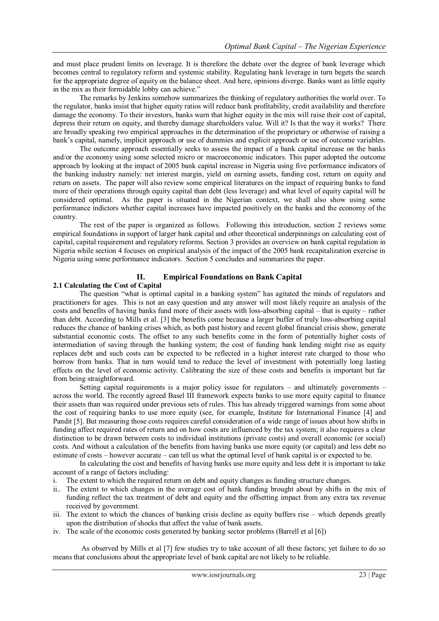and must place prudent limits on leverage. It is therefore the debate over the degree of bank leverage which becomes central to regulatory reform and systemic stability. Regulating bank leverage in turn begets the search for the appropriate degree of equity on the balance sheet. And here, opinions diverge. Banks want as little equity in the mix as their formidable lobby can achieve."

The remarks by Jenkins somehow summarizes the thinking of regulatory authorities the world over. To the regulator, banks insist that higher equity ratios will reduce bank profitability, credit availability and therefore damage the economy. To their investors, banks warn that higher equity in the mix will raise their cost of capital, depress their return on equity, and thereby damage shareholders value. Will it? Is that the way it works? There are broadly speaking two empirical approaches in the determination of the proprietary or otherwise of raising a bank"s capital, namely, implicit approach or use of dummies and explicit approach or use of outcome variables.

The outcome approach essentially seeks to assess the impact of a bank capital increase on the banks and/or the economy using some selected micro or macroeconomic indicators. This paper adopted the outcome approach by looking at the impact of 2005 bank capital increase in Nigeria using five performance indicators of the banking industry namely: net interest margin, yield on earning assets, funding cost, return on equity and return on assets. The paper will also review some empirical literatures on the impact of requiring banks to fund more of their operations through equity capital than debt (less leverage) and what level of equity capital will be considered optimal. As the paper is situated in the Nigerian context, we shall also show using some performance indictors whether capital increases have impacted positively on the banks and the economy of the country.

The rest of the paper is organized as follows. Following this introduction, section 2 reviews some empirical foundations in support of larger bank capital and other theoretical underpinnings on calculating cost of capital, capital requirement and regulatory reforms. Section 3 provides an overview on bank capital regulation in Nigeria while section 4 focuses on empirical analysis of the impact of the 2005 bank recapitalization exercise in Nigeria using some performance indicators. Section 5 concludes and summarizes the paper.

# **II. Empirical Foundations on Bank Capital**

## **2.1 Calculating the Cost of Capital**

The question "what is optimal capital in a banking system" has agitated the minds of regulators and practitioners for ages. This is not an easy question and any answer will most likely require an analysis of the costs and benefits of having banks fund more of their assets with loss-absorbing capital – that is equity – rather than debt. According to Mills et al. [3] the benefits come because a larger buffer of truly loss-absorbing capital reduces the chance of banking crises which, as both past history and recent global financial crisis show, generate substantial economic costs. The offset to any such benefits come in the form of potentially higher costs of intermediation of saving through the banking system; the cost of funding bank lending might rise as equity replaces debt and such costs can be expected to be reflected in a higher interest rate charged to those who borrow from banks. That in turn would tend to reduce the level of investment with potentially long lasting effects on the level of economic activity. Calibrating the size of these costs and benefits is important but far from being straightforward.

Setting capital requirements is a major policy issue for regulators – and ultimately governments – across the world. The recently agreed Basel III framework expects banks to use more equity capital to finance their assets than was required under previous sets of rules. This has already triggered warnings from some about the cost of requiring banks to use more equity (see, for example, Institute for International Finance [4] and Pandit [5]. But measuring those costs requires careful consideration of a wide range of issues about how shifts in funding affect required rates of return and on how costs are influenced by the tax system; it also requires a clear distinction to be drawn between costs to individual institutions (private costs) and overall economic (or social) costs. And without a calculation of the benefits from having banks use more equity (or capital) and less debt no estimate of costs – however accurate – can tell us what the optimal level of bank capital is or expected to be.

In calculating the cost and benefits of having banks use more equity and less debt it is important to take account of a range of factors including:

- i. The extent to which the required return on debt and equity changes as funding structure changes.
- ii.. The extent to which changes in the average cost of bank funding brought about by shifts in the mix of funding reflect the tax treatment of debt and equity and the offsetting impact from any extra tax revenue received by government.
- iii. The extent to which the chances of banking crisis decline as equity buffers rise which depends greatly upon the distribution of shocks that affect the value of bank assets.
- iv. The scale of the economic costs generated by banking sector problems (Barrell et al [6])

As observed by Mills et al [7] few studies try to take account of all these factors; yet failure to do so means that conclusions about the appropriate level of bank capital are not likely to be reliable.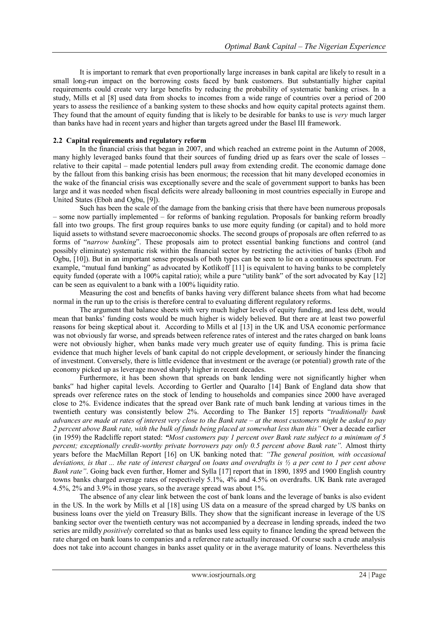It is important to remark that even proportionally large increases in bank capital are likely to result in a small long-run impact on the borrowing costs faced by bank customers. But substantially higher capital requirements could create very large benefits by reducing the probability of systematic banking crises. In a study, Mills et al [8] used data from shocks to incomes from a wide range of countries over a period of 200 years to assess the resilience of a banking system to these shocks and how equity capital protects against them. They found that the amount of equity funding that is likely to be desirable for banks to use is *very* much larger than banks have had in recent years and higher than targets agreed under the Basel III framework.

## **2.2 Capital requirements and regulatory reform**

In the financial crisis that began in 2007, and which reached an extreme point in the Autumn of 2008, many highly leveraged banks found that their sources of funding dried up as fears over the scale of losses – relative to their capital – made potential lenders pull away from extending credit. The economic damage done by the fallout from this banking crisis has been enormous; the recession that hit many developed economies in the wake of the financial crisis was exceptionally severe and the scale of government support to banks has been large and it was needed when fiscal deficits were already ballooning in most countries especially in Europe and United States (Eboh and Ogbu, [9]).

Such has been the scale of the damage from the banking crisis that there have been numerous proposals – some now partially implemented – for reforms of banking regulation. Proposals for banking reform broadly fall into two groups. The first group requires banks to use more equity funding (or capital) and to hold more liquid assets to withstand severe macroeconomic shocks. The second groups of proposals are often referred to as forms of "*narrow banking*". These proposals aim to protect essential banking functions and control (and possibly eliminate) systematic risk within the financial sector by restricting the activities of banks (Eboh and Ogbu, [10]). But in an important sense proposals of both types can be seen to lie on a continuous spectrum. For example, "mutual fund banking" as advocated by Kotlikoff [11] is equivalent to having banks to be completely equity funded (operate with a 100% capital ratio); while a pure "utility bank" of the sort advocated by Kay [12] can be seen as equivalent to a bank with a 100% liquidity ratio.

Measuring the cost and benefits of banks having very different balance sheets from what had become normal in the run up to the crisis is therefore central to evaluating different regulatory reforms.

The argument that balance sheets with very much higher levels of equity funding, and less debt, would mean that banks" funding costs would be much higher is widely believed. But there are at least two powerful reasons for being skeptical about it. According to Mills et al [13] in the UK and USA economic performance was not obviously far worse, and spreads between reference rates of interest and the rates charged on bank loans were not obviously higher, when banks made very much greater use of equity funding. This is prima facie evidence that much higher levels of bank capital do not cripple development, or seriously hinder the financing of investment. Conversely, there is little evidence that investment or the average (or potential) growth rate of the economy picked up as leverage moved sharply higher in recent decades.

Furthermore, it has been shown that spreads on bank lending were not significantly higher when banks" had higher capital levels. According to Gertler and Quaralto [14] Bank of England data show that spreads over reference rates on the stock of lending to households and companies since 2000 have averaged close to 2%. Evidence indicates that the spread over Bank rate of much bank lending at various times in the twentieth century was consistently below 2%. According to The Banker 15] reports "*traditionally bank advances are made at rates of interest very close to the Bank rate – at the most customers might be asked to pay 2 percent above Bank rate, with the bulk of funds being placed at somewhat less than this"* Over a decade earlier (in 1959) the Radcliffe report stated: *"Most customers pay 1 percent over Bank rate subject to a minimum of 5 percent; exceptionally credit-worthy private borrowers pay only 0.5 percent above Bank rate".* Almost thirty years before the MacMillan Report [16] on UK banking noted that: *"The general position, with occasional deviations, is that ... the rate of interest charged on loans and overdrafts is ½ a per cent to 1 per cent above Bank rate"*. Going back even further, Homer and Sylla [17] report that in 1890, 1895 and 1900 English country towns banks charged average rates of respectively 5.1%, 4% and 4.5% on overdrafts. UK Bank rate averaged 4.5%, 2% and 3.9% in those years, so the average spread was about 1%.

The absence of any clear link between the cost of bank loans and the leverage of banks is also evident in the US. In the work by Mills et al [18] using US data on a measure of the spread charged by US banks on business loans over the yield on Treasury Bills. They show that the significant increase in leverage of the US banking sector over the twentieth century was not accompanied by a decrease in lending spreads, indeed the two series are mildly *positively* correlated so that as banks used less equity to finance lending the spread between the rate charged on bank loans to companies and a reference rate actually increased. Of course such a crude analysis does not take into account changes in banks asset quality or in the average maturity of loans. Nevertheless this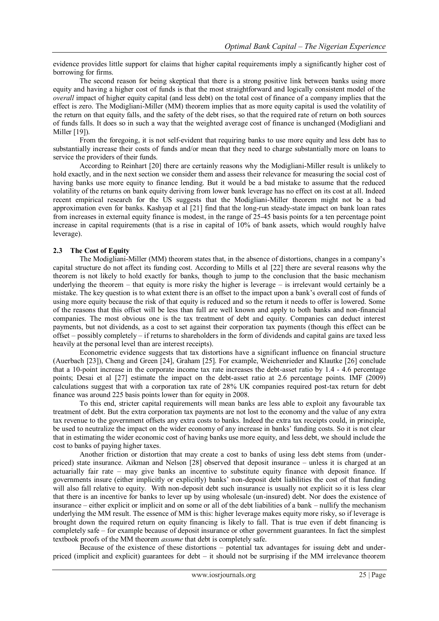evidence provides little support for claims that higher capital requirements imply a significantly higher cost of borrowing for firms.

The second reason for being skeptical that there is a strong positive link between banks using more equity and having a higher cost of funds is that the most straightforward and logically consistent model of the *overall* impact of higher equity capital (and less debt) on the total cost of finance of a company implies that the effect is zero. The Modigliani-Miller (MM) theorem implies that as more equity capital is used the volatility of the return on that equity falls, and the safety of the debt rises, so that the required rate of return on both sources of funds falls. It does so in such a way that the weighted average cost of finance is unchanged (Modigliani and Miller [19]).

From the foregoing, it is not self-evident that requiring banks to use more equity and less debt has to substantially increase their costs of funds and/or mean that they need to charge substantially more on loans to service the providers of their funds.

According to Reinhart [20] there are certainly reasons why the Modigliani-Miller result is unlikely to hold exactly, and in the next section we consider them and assess their relevance for measuring the social cost of having banks use more equity to finance lending. But it would be a bad mistake to assume that the reduced volatility of the returns on bank equity deriving from lower bank leverage has no effect on its cost at all. Indeed recent empirical research for the US suggests that the Modigliani-Miller theorem might not be a bad approximation even for banks. Kashyap et al [21] find that the long-run steady-state impact on bank loan rates from increases in external equity finance is modest, in the range of 25-45 basis points for a ten percentage point increase in capital requirements (that is a rise in capital of 10% of bank assets, which would roughly halve leverage).

## **2.3 The Cost of Equity**

The Modigliani-Miller (MM) theorem states that, in the absence of distortions, changes in a company"s capital structure do not affect its funding cost. According to Mills et al [22] there are several reasons why the theorem is not likely to hold exactly for banks, though to jump to the conclusion that the basic mechanism underlying the theorem – that equity is more risky the higher is leverage – is irrelevant would certainly be a mistake. The key question is to what extent there is an offset to the impact upon a bank"s overall cost of funds of using more equity because the risk of that equity is reduced and so the return it needs to offer is lowered. Some of the reasons that this offset will be less than full are well known and apply to both banks and non-financial companies. The most obvious one is the tax treatment of debt and equity. Companies can deduct interest payments, but not dividends, as a cost to set against their corporation tax payments (though this effect can be offset – possibly completely – if returns to shareholders in the form of dividends and capital gains are taxed less heavily at the personal level than are interest receipts).

Econometric evidence suggests that tax distortions have a significant influence on financial structure (Auerbach [23]), Cheng and Green [24], Graham [25]. For example, Weichenrieder and Klautke [26] conclude that a 10-point increase in the corporate income tax rate increases the debt-asset ratio by 1.4 - 4.6 percentage points; Desai et al [27] estimate the impact on the debt-asset ratio at 2.6 percentage points. IMF (2009) calculations suggest that with a corporation tax rate of 28% UK companies required post-tax return for debt finance was around 225 basis points lower than for equity in 2008.

To this end, stricter capital requirements will mean banks are less able to exploit any favourable tax treatment of debt. But the extra corporation tax payments are not lost to the economy and the value of any extra tax revenue to the government offsets any extra costs to banks. Indeed the extra tax receipts could, in principle, be used to neutralize the impact on the wider economy of any increase in banks" funding costs. So it is not clear that in estimating the wider economic cost of having banks use more equity, and less debt, we should include the cost to banks of paying higher taxes.

Another friction or distortion that may create a cost to banks of using less debt stems from (underpriced) state insurance. Aikman and Nelson [28] observed that deposit insurance – unless it is charged at an actuarially fair rate – may give banks an incentive to substitute equity finance with deposit finance. If governments insure (either implicitly or explicitly) banks" non-deposit debt liabilities the cost of that funding will also fall relative to equity. With non-deposit debt such insurance is usually not explicit so it is less clear that there is an incentive for banks to lever up by using wholesale (un-insured) debt. Nor does the existence of insurance – either explicit or implicit and on some or all of the debt liabilities of a bank – nullify the mechanism underlying the MM result. The essence of MM is this: higher leverage makes equity more risky, so if leverage is brought down the required return on equity financing is likely to fall. That is true even if debt financing is completely safe – for example because of deposit insurance or other government guarantees. In fact the simplest textbook proofs of the MM theorem *assume* that debt is completely safe.

Because of the existence of these distortions – potential tax advantages for issuing debt and underpriced (implicit and explicit) guarantees for debt – it should not be surprising if the MM irrelevance theorem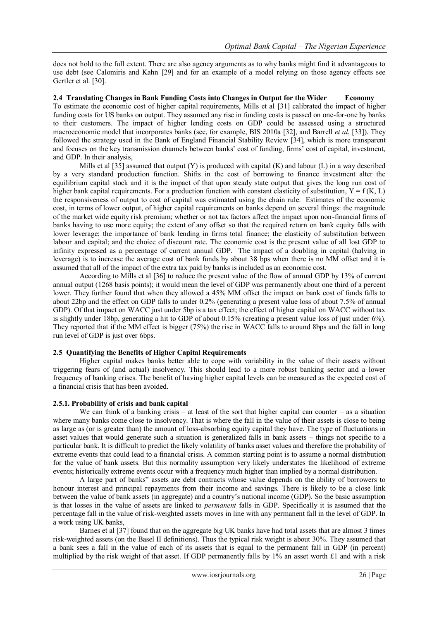does not hold to the full extent. There are also agency arguments as to why banks might find it advantageous to use debt (see Calomiris and Kahn [29] and for an example of a model relying on those agency effects see Gertler et al. [30].

#### **2.4 Translating Changes in Bank Funding Costs into Changes in Output for the Wider Economy**

To estimate the economic cost of higher capital requirements, Mills et al [31] calibrated the impact of higher funding costs for US banks on output. They assumed any rise in funding costs is passed on one-for-one by banks to their customers. The impact of higher lending costs on GDP could be assessed using a structured macroeconomic model that incorporates banks (see, for example, BIS 2010a [32], and Barrell *et al*, [33]). They followed the strategy used in the Bank of England Financial Stability Review [34], which is more transparent and focuses on the key transmission channels between banks" cost of funding, firms" cost of capital, investment, and GDP. In their analysis,

Mills et al  $[35]$  assumed that output (Y) is produced with capital (K) and labour (L) in a way described by a very standard production function. Shifts in the cost of borrowing to finance investment alter the equilibrium capital stock and it is the impact of that upon steady state output that gives the long run cost of higher bank capital requirements. For a production function with constant elasticity of substitution,  $Y = f(K, L)$ the responsiveness of output to cost of capital was estimated using the chain rule. Estimates of the economic cost, in terms of lower output, of higher capital requirements on banks depend on several things: the magnitude of the market wide equity risk premium; whether or not tax factors affect the impact upon non-financial firms of banks having to use more equity; the extent of any offset so that the required return on bank equity falls with lower leverage; the importance of bank lending in firms total finance; the elasticity of substitution between labour and capital; and the choice of discount rate. The economic cost is the present value of all lost GDP to infinity expressed as a percentage of current annual GDP. The impact of a doubling in capital (halving in leverage) is to increase the average cost of bank funds by about 38 bps when there is no MM offset and it is assumed that all of the impact of the extra tax paid by banks is included as an economic cost.

According to Mills et al [36] to reduce the present value of the flow of annual GDP by 13% of current annual output (1268 basis points); it would mean the level of GDP was permanently about one third of a percent lower. They further found that when they allowed a 45% MM offset the impact on bank cost of funds falls to about 22bp and the effect on GDP falls to under 0.2% (generating a present value loss of about 7.5% of annual GDP). Of that impact on WACC just under 5bp is a tax effect; the effect of higher capital on WACC without tax is slightly under 18bp, generating a hit to GDP of about 0.15% (creating a present value loss of just under 6%). They reported that if the MM effect is bigger (75%) the rise in WACC falls to around 8bps and the fall in long run level of GDP is just over 6bps.

## **2.5 Quantifying the Benefits of Higher Capital Requirements**

Higher capital makes banks better able to cope with variability in the value of their assets without triggering fears of (and actual) insolvency. This should lead to a more robust banking sector and a lower frequency of banking crises. The benefit of having higher capital levels can be measured as the expected cost of a financial crisis that has been avoided.

#### **2.5.1. Probability of crisis and bank capital**

We can think of a banking crisis – at least of the sort that higher capital can counter – as a situation where many banks come close to insolvency. That is where the fall in the value of their assets is close to being as large as (or is greater than) the amount of loss-absorbing equity capital they have. The type of fluctuations in asset values that would generate such a situation is generalized falls in bank assets – things not specific to a particular bank. It is difficult to predict the likely volatility of banks asset values and therefore the probability of extreme events that could lead to a financial crisis. A common starting point is to assume a normal distribution for the value of bank assets. But this normality assumption very likely understates the likelihood of extreme events; historically extreme events occur with a frequency much higher than implied by a normal distribution.

A large part of banks" assets are debt contracts whose value depends on the ability of borrowers to honour interest and principal repayments from their income and savings. There is likely to be a close link between the value of bank assets (in aggregate) and a country"s national income (GDP). So the basic assumption is that losses in the value of assets are linked to *permanent* falls in GDP. Specifically it is assumed that the percentage fall in the value of risk-weighted assets moves in line with any permanent fall in the level of GDP. In a work using UK banks,

Barnes et al [37] found that on the aggregate big UK banks have had total assets that are almost 3 times risk-weighted assets (on the Basel II definitions). Thus the typical risk weight is about 30%. They assumed that a bank sees a fall in the value of each of its assets that is equal to the permanent fall in GDP (in percent) multiplied by the risk weight of that asset. If GDP permanently falls by 1% an asset worth £1 and with a risk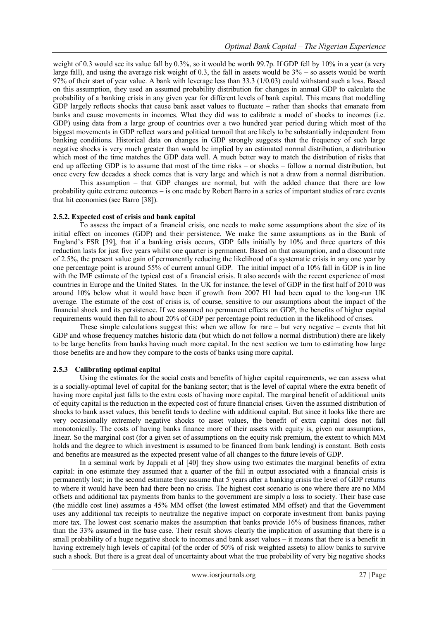weight of 0.3 would see its value fall by 0.3%, so it would be worth 99.7p. If GDP fell by 10% in a year (a very large fall), and using the average risk weight of 0.3, the fall in assets would be  $3%$  – so assets would be worth 97% of their start of year value. A bank with leverage less than 33.3 (1/0.03) could withstand such a loss. Based on this assumption, they used an assumed probability distribution for changes in annual GDP to calculate the probability of a banking crisis in any given year for different levels of bank capital. This means that modelling GDP largely reflects shocks that cause bank asset values to fluctuate – rather than shocks that emanate from banks and cause movements in incomes. What they did was to calibrate a model of shocks to incomes (i.e. GDP) using data from a large group of countries over a two hundred year period during which most of the biggest movements in GDP reflect wars and political turmoil that are likely to be substantially independent from banking conditions. Historical data on changes in GDP strongly suggests that the frequency of such large negative shocks is very much greater than would be implied by an estimated normal distribution, a distribution which most of the time matches the GDP data well. A much better way to match the distribution of risks that end up affecting GDP is to assume that most of the time risks – or shocks – follow a normal distribution, but once every few decades a shock comes that is very large and which is not a draw from a normal distribution.

This assumption – that GDP changes are normal, but with the added chance that there are low probability quite extreme outcomes – is one made by Robert Barro in a series of important studies of rare events that hit economies (see Barro [38]).

## **2.5.2. Expected cost of crisis and bank capital**

To assess the impact of a financial crisis, one needs to make some assumptions about the size of its initial effect on incomes (GDP) and their persistence. We make the same assumptions as in the Bank of England"s FSR [39], that if a banking crisis occurs, GDP falls initially by 10% and three quarters of this reduction lasts for just five years whilst one quarter is permanent. Based on that assumption, and a discount rate of 2.5%, the present value gain of permanently reducing the likelihood of a systematic crisis in any one year by one percentage point is around 55% of current annual GDP. The initial impact of a 10% fall in GDP is in line with the IMF estimate of the typical cost of a financial crisis. It also accords with the recent experience of most countries in Europe and the United States. In the UK for instance, the level of GDP in the first half of 2010 was around 10% below what it would have been if growth from 2007 H1 had been equal to the long-run UK average. The estimate of the cost of crisis is, of course, sensitive to our assumptions about the impact of the financial shock and its persistence. If we assumed no permanent effects on GDP, the benefits of higher capital requirements would then fall to about 20% of GDP per percentage point reduction in the likelihood of crises.

These simple calculations suggest this: when we allow for rare  $-$  but very negative  $-$  events that hit GDP and whose frequency matches historic data (but which do not follow a normal distribution) there are likely to be large benefits from banks having much more capital. In the next section we turn to estimating how large those benefits are and how they compare to the costs of banks using more capital.

#### **2.5.3 Calibrating optimal capital**

Using the estimates for the social costs and benefits of higher capital requirements, we can assess what is a socially-optimal level of capital for the banking sector; that is the level of capital where the extra benefit of having more capital just falls to the extra costs of having more capital. The marginal benefit of additional units of equity capital is the reduction in the expected cost of future financial crises. Given the assumed distribution of shocks to bank asset values, this benefit tends to decline with additional capital. But since it looks like there are very occasionally extremely negative shocks to asset values, the benefit of extra capital does not fall monotonically. The costs of having banks finance more of their assets with equity is, given our assumptions, linear. So the marginal cost (for a given set of assumptions on the equity risk premium, the extent to which MM holds and the degree to which investment is assumed to be financed from bank lending) is constant. Both costs and benefits are measured as the expected present value of all changes to the future levels of GDP.

In a seminal work by Jappali et al [40] they show using two estimates the marginal benefits of extra capital: in one estimate they assumed that a quarter of the fall in output associated with a financial crisis is permanently lost; in the second estimate they assume that 5 years after a banking crisis the level of GDP returns to where it would have been had there been no crisis. The highest cost scenario is one where there are no MM offsets and additional tax payments from banks to the government are simply a loss to society. Their base case (the middle cost line) assumes a 45% MM offset (the lowest estimated MM offset) and that the Government uses any additional tax receipts to neutralize the negative impact on corporate investment from banks paying more tax. The lowest cost scenario makes the assumption that banks provide 16% of business finances, rather than the 33% assumed in the base case. Their result shows clearly the implication of assuming that there is a small probability of a huge negative shock to incomes and bank asset values – it means that there is a benefit in having extremely high levels of capital (of the order of 50% of risk weighted assets) to allow banks to survive such a shock. But there is a great deal of uncertainty about what the true probability of very big negative shocks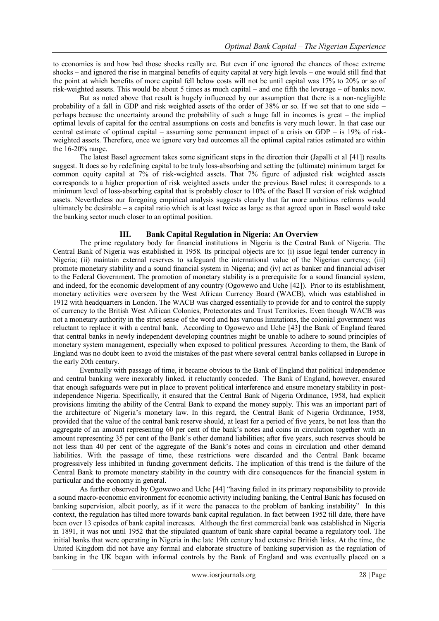to economies is and how bad those shocks really are. But even if one ignored the chances of those extreme shocks – and ignored the rise in marginal benefits of equity capital at very high levels – one would still find that the point at which benefits of more capital fell below costs will not be until capital was 17% to 20% or so of risk-weighted assets. This would be about 5 times as much capital – and one fifth the leverage – of banks now.

But as noted above that result is hugely influenced by our assumption that there is a non-negligible probability of a fall in GDP and risk weighted assets of the order of 38% or so. If we set that to one side – perhaps because the uncertainty around the probability of such a huge fall in incomes is great – the implied optimal levels of capital for the central assumptions on costs and benefits is very much lower. In that case our central estimate of optimal capital – assuming some permanent impact of a crisis on GDP – is 19% of riskweighted assets. Therefore, once we ignore very bad outcomes all the optimal capital ratios estimated are within the 16-20% range.

The latest Basel agreement takes some significant steps in the direction their (Japalli et al [41]) results suggest. It does so by redefining capital to be truly loss-absorbing and setting the (ultimate) minimum target for common equity capital at 7% of risk-weighted assets. That 7% figure of adjusted risk weighted assets corresponds to a higher proportion of risk weighted assets under the previous Basel rules; it corresponds to a minimum level of loss-absorbing capital that is probably closer to 10% of the Basel II version of risk weighted assets. Nevertheless our foregoing empirical analysis suggests clearly that far more ambitious reforms would ultimately be desirable – a capital ratio which is at least twice as large as that agreed upon in Basel would take the banking sector much closer to an optimal position.

## **III. Bank Capital Regulation in Nigeria: An Overview**

The prime regulatory body for financial institutions in Nigeria is the Central Bank of Nigeria. The Central Bank of Nigeria was established in 1958. Its principal objects are to: (i) issue legal tender currency in Nigeria; (ii) maintain external reserves to safeguard the international value of the Nigerian currency; (iii) promote monetary stability and a sound financial system in Nigeria; and (iv) act as banker and financial adviser to the Federal Government. The promotion of monetary stability is a prerequisite for a sound financial system, and indeed, for the economic development of any country (Ogowewo and Uche [42]). Prior to its establishment, monetary activities were overseen by the West African Currency Board (WACB), which was established in 1912 with headquarters in London. The WACB was charged essentially to provide for and to control the supply of currency to the British West African Colonies, Protectorates and Trust Territories. Even though WACB was not a monetary authority in the strict sense of the word and has various limitations, the colonial government was reluctant to replace it with a central bank. According to Ogowewo and Uche [43] the Bank of England feared that central banks in newly independent developing countries might be unable to adhere to sound principles of monetary system management, especially when exposed to political pressures. According to them, the Bank of England was no doubt keen to avoid the mistakes of the past where several central banks collapsed in Europe in the early 20th century.

Eventually with passage of time, it became obvious to the Bank of England that political independence and central banking were inexorably linked, it reluctantly conceded. The Bank of England, however, ensured that enough safeguards were put in place to prevent political interference and ensure monetary stability in postindependence Nigeria. Specifically, it ensured that the Central Bank of Nigeria Ordinance, 1958, had explicit provisions limiting the ability of the Central Bank to expand the money supply. This was an important part of the architecture of Nigeria's monetary law. In this regard, the Central Bank of Nigeria Ordinance, 1958, provided that the value of the central bank reserve should, at least for a period of five years, be not less than the aggregate of an amount representing 60 per cent of the bank's notes and coins in circulation together with an amount representing 35 per cent of the Bank"s other demand liabilities; after five years, such reserves should be not less than 40 per cent of the aggregate of the Bank"s notes and coins in circulation and other demand liabilities. With the passage of time, these restrictions were discarded and the Central Bank became progressively less inhibited in funding government deficits. The implication of this trend is the failure of the Central Bank to promote monetary stability in the country with dire consequences for the financial system in particular and the economy in general.

As further observed by Ogowewo and Uche [44] "having failed in its primary responsibility to provide a sound macro-economic environment for economic activity including banking, the Central Bank has focused on banking supervision, albeit poorly, as if it were the panacea to the problem of banking instability" In this context, the regulation has tilted more towards bank capital regulation. In fact between 1952 till date, there have been over 13 episodes of bank capital increases. Although the first commercial bank was established in Nigeria in 1891, it was not until 1952 that the stipulated quantum of bank share capital became a regulatory tool. The initial banks that were operating in Nigeria in the late 19th century had extensive British links. At the time, the United Kingdom did not have any formal and elaborate structure of banking supervision as the regulation of banking in the UK began with informal controls by the Bank of England and was eventually placed on a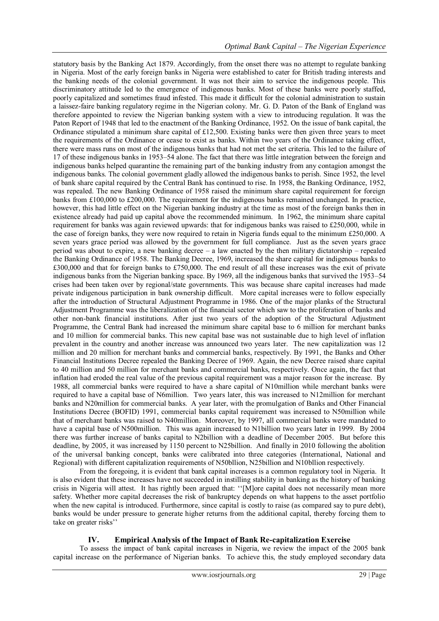statutory basis by the Banking Act 1879. Accordingly, from the onset there was no attempt to regulate banking in Nigeria. Most of the early foreign banks in Nigeria were established to cater for British trading interests and the banking needs of the colonial government. It was not their aim to service the indigenous people. This discriminatory attitude led to the emergence of indigenous banks. Most of these banks were poorly staffed, poorly capitalized and sometimes fraud infested. This made it difficult for the colonial administration to sustain a laissez-faire banking regulatory regime in the Nigerian colony. Mr. G. D. Paton of the Bank of England was therefore appointed to review the Nigerian banking system with a view to introducing regulation. It was the Paton Report of 1948 that led to the enactment of the Banking Ordinance, 1952. On the issue of bank capital, the Ordinance stipulated a minimum share capital of £12,500. Existing banks were then given three years to meet the requirements of the Ordinance or cease to exist as banks. Within two years of the Ordinance taking effect, there were mass runs on most of the indigenous banks that had not met the set criteria. This led to the failure of 17 of these indigenous banks in 1953–54 alone. The fact that there was little integration between the foreign and indigenous banks helped quarantine the remaining part of the banking industry from any contagion amongst the indigenous banks. The colonial government gladly allowed the indigenous banks to perish. Since 1952, the level of bank share capital required by the Central Bank has continued to rise. In 1958, the Banking Ordinance, 1952, was repealed. The new Banking Ordinance of 1958 raised the minimum share capital requirement for foreign banks from £100,000 to £200,000. The requirement for the indigenous banks remained unchanged. In practice, however, this had little effect on the Nigerian banking industry at the time as most of the foreign banks then in existence already had paid up capital above the recommended minimum. In 1962, the minimum share capital requirement for banks was again reviewed upwards: that for indigenous banks was raised to £250,000, while in the case of foreign banks, they were now required to retain in Nigeria funds equal to the minimum £250,000. A seven years grace period was allowed by the government for full compliance. Just as the seven years grace period was about to expire, a new banking decree – a law enacted by the then military dictatorship – repealed the Banking Ordinance of 1958. The Banking Decree, 1969, increased the share capital for indigenous banks to £300,000 and that for foreign banks to £750,000. The end result of all these increases was the exit of private indigenous banks from the Nigerian banking space. By 1969, all the indigenous banks that survived the 1953–54 crises had been taken over by regional/state governments. This was because share capital increases had made private indigenous participation in bank ownership difficult. More capital increases were to follow especially after the introduction of Structural Adjustment Programme in 1986. One of the major planks of the Structural Adjustment Programme was the liberalization of the financial sector which saw to the proliferation of banks and other non-bank financial institutions. After just two years of the adoption of the Structural Adjustment Programme, the Central Bank had increased the minimum share capital base to 6 million for merchant banks and 10 million for commercial banks. This new capital base was not sustainable due to high level of inflation prevalent in the country and another increase was announced two years later. The new capitalization was 12 million and 20 million for merchant banks and commercial banks, respectively. By 1991, the Banks and Other Financial Institutions Decree repealed the Banking Decree of 1969. Again, the new Decree raised share capital to 40 million and 50 million for merchant banks and commercial banks, respectively. Once again, the fact that inflation had eroded the real value of the previous capital requirement was a major reason for the increase. By 1988, all commercial banks were required to have a share capital of N10million while merchant banks were required to have a capital base of N6million. Two years later, this was increased to N12million for merchant banks and N20million for commercial banks. A year later, with the promulgation of Banks and Other Financial Institutions Decree (BOFID) 1991, commercial banks capital requirement was increased to N50million while that of merchant banks was raised to N40million. Moreover, by 1997, all commercial banks were mandated to have a capital base of N500million. This was again increased to N1billion two years later in 1999. By 2004 there was further increase of banks capital to N2billion with a deadline of December 2005. But before this deadline, by 2005, it was increased by 1150 percent to N25billion. And finally in 2010 following the abolition of the universal banking concept, banks were calibrated into three categories (International, National and Regional) with different capitalization requirements of N50bllion, N25billion and N10bllion respectively.

From the foregoing, it is evident that bank capital increases is a common regulatory tool in Nigeria. It is also evident that these increases have not succeeded in instilling stability in banking as the history of banking crisis in Nigeria will attest. It has rightly been argued that: ""[M]ore capital does not necessarily mean more safety. Whether more capital decreases the risk of bankruptcy depends on what happens to the asset portfolio when the new capital is introduced. Furthermore, since capital is costly to raise (as compared say to pure debt), banks would be under pressure to generate higher returns from the additional capital, thereby forcing them to take on greater risks"

# **IV. Empirical Analysis of the Impact of Bank Re-capitalization Exercise**

To assess the impact of bank capital increases in Nigeria, we review the impact of the 2005 bank capital increase on the performance of Nigerian banks. To achieve this, the study employed secondary data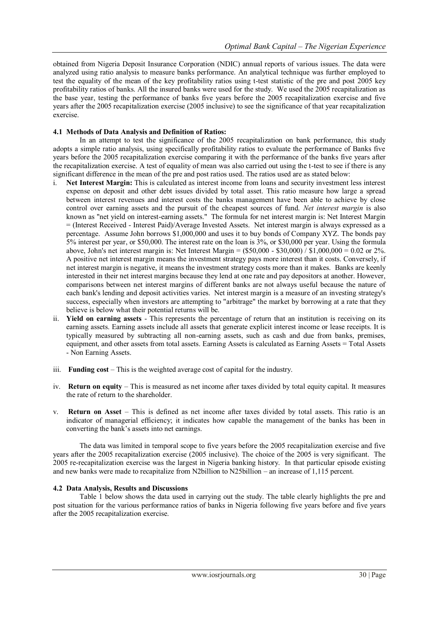obtained from Nigeria Deposit Insurance Corporation (NDIC) annual reports of various issues. The data were analyzed using ratio analysis to measure banks performance. An analytical technique was further employed to test the equality of the mean of the key profitability ratios using t-test statistic of the pre and post 2005 key profitability ratios of banks. All the insured banks were used for the study. We used the 2005 recapitalization as the base year, testing the performance of banks five years before the 2005 recapitalization exercise and five years after the 2005 recapitalization exercise (2005 inclusive) to see the significance of that year recapitalization exercise.

## **4.1 Methods of Data Analysis and Definition of Ratios:**

In an attempt to test the significance of the 2005 recapitalization on bank performance, this study adopts a simple ratio analysis, using specifically profitability ratios to evaluate the performance of Banks five years before the 2005 recapitalization exercise comparing it with the performance of the banks five years after the recapitalization exercise. A test of equality of mean was also carried out using the t-test to see if there is any significant difference in the mean of the pre and post ratios used. The ratios used are as stated below:

- i. **Net Interest Margin:** This is calculated as interest income from loans and security investment less interest expense on deposit and other debt issues divided by total asset. This ratio measure how large a spread between interest revenues and interest costs the banks management have been able to achieve by close control over earning assets and the pursuit of the cheapest sources of fund. *Net interest margin* is also known as "net yield on interest-earning assets." The formula for net interest margin is: Net Interest Margin = (Interest Received - Interest Paid)/Average Invested Assets. Net interest margin is always expressed as a percentage. Assume John borrows \$1,000,000 and uses it to buy [bonds](http://www.investinganswers.com/financial-dictionary/bonds/bond-1287) of Company XYZ. The bonds pay 5% interest per year, or \$50,000. The interest rate on the loan is 3%, or \$30,000 per year. Using the formula above, John's net interest margin is: Net Interest Margin =  $(\$50,000 - \$30,000) / \$1,000,000 = 0.02$  or 2%. A positive net interest margin means th[e investment](http://www.investinganswers.com/financial-dictionary/investing/investment-4904) strategy pays more interest than it costs. Conversely, if net interest margin is negative, it means the investment strategy costs more than it makes. Banks are keenly interested in their net interest margins because they lend at one rate and pay depositors at another. However, comparisons between net interest margins of different banks are not always useful because the nature of each bank's lending an[d deposit](http://www.investinganswers.com/financial-dictionary/personal-finance/deposit-5251) activities varies. Net interest margin is a measure of an [investing](http://www.investinganswers.com/financial-dictionary/investing/investing-5065) strategy's success, especially when investors are attempting to ["arbitrage"](http://www.investinganswers.com/financial-dictionary/world-markets/arbitrage-2171) the [market](http://www.investinganswers.com/financial-dictionary/economics/market-3609) by borrowing at a rate that they believe is below what their potential returns [will](http://www.investinganswers.com/financial-dictionary/estate-planning/will-4974) be.
- ii. **Yield on earning assets** This represents the percentage of return that an institution is receiving on its earning assets. Earning assets include all assets that generate explicit interest income or lease receipts. It is typically measured by subtracting all non-earning assets, such as cash and due from banks, premises, equipment, and other assets from total assets. Earning Assets is calculated as Earning Assets = Total Assets - Non Earning Assets.
- iii. **Funding cost** This is the weighted average cost of capital for the industry.
- iv. **Return on equity** This is measured as net income after taxes divided by total equity capital. It measures the rate of return to the shareholder.
- v. **Return on Asset** This is defined as net income after taxes divided by total assets. This ratio is an indicator of managerial efficiency; it indicates how capable the management of the banks has been in converting the bank"s assets into net earnings.

The data was limited in temporal scope to five years before the 2005 recapitalization exercise and five years after the 2005 recapitalization exercise (2005 inclusive). The choice of the 2005 is very significant. The 2005 re-recapitalization exercise was the largest in Nigeria banking history. In that particular episode existing and new banks were made to recapitalize from N2billion to N25billion – an increase of 1,115 percent.

#### **4.2 Data Analysis, Results and Discussions**

Table 1 below shows the data used in carrying out the study. The table clearly highlights the pre and post situation for the various performance ratios of banks in Nigeria following five years before and five years after the 2005 recapitalization exercise.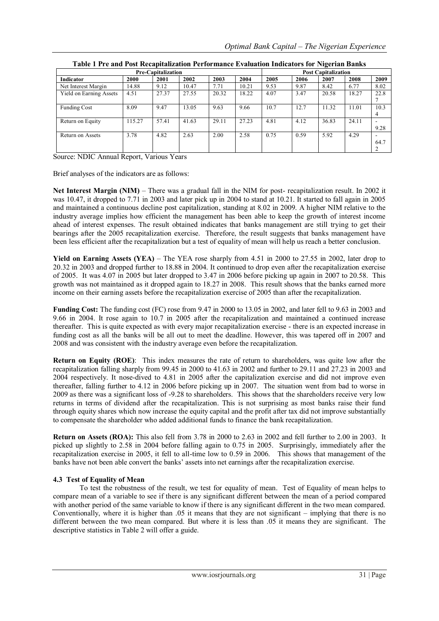| Pre-Capitalization             |        |       |       |       | $\sim$<br><b>Post Capitalization</b> |      |      |       |       |           |
|--------------------------------|--------|-------|-------|-------|--------------------------------------|------|------|-------|-------|-----------|
| Indicator                      | 2000   | 2001  | 2002  | 2003  | 2004                                 | 2005 | 2006 | 2007  | 2008  | 2009      |
| Net Interest Margin            | 14.88  | 9.12  | 10.47 | 7.71  | 10.21                                | 9.53 | 9.87 | 8.42  | 6.77  | 8.02      |
| <b>Yield on Earning Assets</b> | 4.51   | 27.37 | 27.55 | 20.32 | 18.22                                | 4.07 | 3.47 | 20.58 | 18.27 | 22.8      |
| <b>Funding Cost</b>            | 8.09   | 9.47  | 13.05 | 9.63  | 9.66                                 | 10.7 | 12.7 | 11.32 | 11.01 | 10.3<br>4 |
| Return on Equity               | 115.27 | 57.41 | 41.63 | 29.11 | 27.23                                | 4.81 | 4.12 | 36.83 | 24.11 | 9.28      |
| Return on Assets               | 3.78   | 4.82  | 2.63  | 2.00  | 2.58                                 | 0.75 | 0.59 | 5.92  | 4.29  | 64.7      |

**Table 1 Pre and Post Recapitalization Performance Evaluation Indicators for Nigerian Banks**

Source: NDIC Annual Report, Various Years

Brief analyses of the indicators are as follows:

**Net Interest Margin (NIM)** – There was a gradual fall in the NIM for post- recapitalization result. In 2002 it was 10.47, it dropped to 7.71 in 2003 and later pick up in 2004 to stand at 10.21. It started to fall again in 2005 and maintained a continuous decline post capitalization, standing at 8.02 in 2009. A higher NIM relative to the industry average implies how efficient the management has been able to keep the growth of interest income ahead of interest expenses. The result obtained indicates that banks management are still trying to get their bearings after the 2005 recapitalization exercise. Therefore, the result suggests that banks management have been less efficient after the recapitalization but a test of equality of mean will help us reach a better conclusion.

**Yield on Earning Assets (YEA)** – The YEA rose sharply from 4.51 in 2000 to 27.55 in 2002, later drop to 20.32 in 2003 and dropped further to 18.88 in 2004. It continued to drop even after the recapitalization exercise of 2005. It was 4.07 in 2005 but later dropped to 3.47 in 2006 before picking up again in 2007 to 20.58. This growth was not maintained as it dropped again to 18.27 in 2008. This result shows that the banks earned more income on their earning assets before the recapitalization exercise of 2005 than after the recapitalization.

**Funding Cost:** The funding cost (FC) rose from 9.47 in 2000 to 13.05 in 2002, and later fell to 9.63 in 2003 and 9.66 in 2004. It rose again to 10.7 in 2005 after the recapitalization and maintained a continued increase thereafter. This is quite expected as with every major recapitalization exercise - there is an expected increase in funding cost as all the banks will be all out to meet the deadline. However, this was tapered off in 2007 and 2008 and was consistent with the industry average even before the recapitalization.

**Return on Equity (ROE)**: This index measures the rate of return to shareholders, was quite low after the recapitalization falling sharply from 99.45 in 2000 to 41.63 in 2002 and further to 29.11 and 27.23 in 2003 and 2004 respectively. It nose-dived to 4.81 in 2005 after the capitalization exercise and did not improve even thereafter, falling further to 4.12 in 2006 before picking up in 2007. The situation went from bad to worse in 2009 as there was a significant loss of -9.28 to shareholders. This shows that the shareholders receive very low returns in terms of dividend after the recapitalization. This is not surprising as most banks raise their fund through equity shares which now increase the equity capital and the profit after tax did not improve substantially to compensate the shareholder who added additional funds to finance the bank recapitalization.

**Return on Assets (ROA):** This also fell from 3.78 in 2000 to 2.63 in 2002 and fell further to 2.00 in 2003. It picked up slightly to 2.58 in 2004 before falling again to 0.75 in 2005. Surprisingly, immediately after the recapitalization exercise in 2005, it fell to all-time low to 0.59 in 2006. This shows that management of the banks have not been able convert the banks" assets into net earnings after the recapitalization exercise.

# **4.3 Test of Equality of Mean**

To test the robustness of the result, we test for equality of mean. Test of Equality of mean helps to compare mean of a variable to see if there is any significant different between the mean of a period compared with another period of the same variable to know if there is any significant different in the two mean compared. Conventionally, where it is higher than .05 it means that they are not significant – implying that there is no different between the two mean compared. But where it is less than .05 it means they are significant. The descriptive statistics in Table 2 will offer a guide.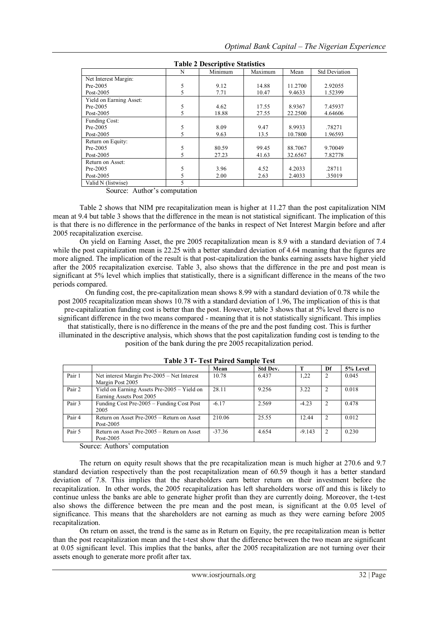| <b>Table 2 Descriptive Statistics</b> |   |         |         |         |                      |  |  |
|---------------------------------------|---|---------|---------|---------|----------------------|--|--|
|                                       | N | Minimum | Maximum | Mean    | <b>Std Deviation</b> |  |  |
| Net Interest Margin:                  |   |         |         |         |                      |  |  |
| $Pre-2005$                            | 5 | 9.12    | 14.88   | 11.2700 | 2.92055              |  |  |
| Post-2005                             | 5 | 7.71    | 10.47   | 9.4633  | 1.52399              |  |  |
| Yield on Earning Asset:               |   |         |         |         |                      |  |  |
| $Pre-2005$                            | 5 | 4.62    | 17.55   | 8.9367  | 7.45937              |  |  |
| Post-2005                             | 5 | 18.88   | 27.55   | 22.2500 | 4.64606              |  |  |
| Funding Cost:                         |   |         |         |         |                      |  |  |
| $Pre-2005$                            | 5 | 8.09    | 9.47    | 8.9933  | .78271               |  |  |
| Post-2005                             | 5 | 9.63    | 13.5    | 10.7800 | 1.96593              |  |  |
| Return on Equity:                     |   |         |         |         |                      |  |  |
| $Pre-2005$                            | 5 | 80.59   | 99.45   | 88.7067 | 9.70049              |  |  |
| Post- $2005$                          | 5 | 27.23   | 41.63   | 32.6567 | 7.82778              |  |  |
| Return on Asset:                      |   |         |         |         |                      |  |  |
| $Pre-2005$                            | 5 | 3.96    | 4.52    | 4.2033  | .28711               |  |  |
| Post-2005                             | 5 | 2.00    | 2.63    | 2.4033  | .35019               |  |  |
| Valid N (listwise)                    | 5 |         |         |         |                      |  |  |

**Table 2 Descriptive Statistics**

Source: Author's computation

Table 2 shows that NIM pre recapitalization mean is higher at 11.27 than the post capitalization NIM mean at 9.4 but table 3 shows that the difference in the mean is not statistical significant. The implication of this is that there is no difference in the performance of the banks in respect of Net Interest Margin before and after 2005 recapitalization exercise.

On yield on Earning Asset, the pre 2005 recapitalization mean is 8.9 with a standard deviation of 7.4 while the post capitalization mean is 22.25 with a better standard deviation of 4.64 meaning that the figures are more aligned. The implication of the result is that post-capitalization the banks earning assets have higher yield after the 2005 recapitalization exercise. Table 3, also shows that the difference in the pre and post mean is significant at 5% level which implies that statistically, there is a significant difference in the means of the two periods compared.

On funding cost, the pre-capitalization mean shows 8.99 with a standard deviation of 0.78 while the post 2005 recapitalization mean shows 10.78 with a standard deviation of 1.96, The implication of this is that pre-capitalization funding cost is better than the post. However, table 3 shows that at 5% level there is no significant difference in the two means compared - meaning that it is not statistically significant. This implies

that statistically, there is no difference in the means of the pre and the post funding cost. This is further illuminated in the descriptive analysis, which shows that the post capitalization funding cost is tending to the

position of the bank during the pre 2005 recapitalization period.

|        |                                             | Mean     | Std Dev. |          | Df | 5% Level |
|--------|---------------------------------------------|----------|----------|----------|----|----------|
| Pair 1 | Net interest Margin Pre-2005 – Net Interest | 10.78    | 6.437    | 1,22     |    | 0.045    |
|        | Margin Post 2005                            |          |          |          |    |          |
| Pair 2 | Yield on Earning Assets Pre-2005 - Yield on | 28.11    | 9.256    | 3.22     |    | 0.018    |
|        | Earning Assets Post 2005                    |          |          |          |    |          |
| Pair 3 | Funding Cost Pre-2005 – Funding Cost Post   | $-6.17$  | 2.569    | $-4.23$  |    | 0.478    |
|        | 2005                                        |          |          |          |    |          |
| Pair 4 | Return on Asset Pre-2005 – Return on Asset  | 210.06   | 25.55    | 12.44    |    | 0.012    |
|        | Post-2005                                   |          |          |          |    |          |
| Pair 5 | Return on Asset Pre-2005 – Return on Asset  | $-37.36$ | 4.654    | $-9.143$ |    | 0.230    |
|        | Post-2005                                   |          |          |          |    |          |

**Table 3 T- Test Paired Sample Test**

Source: Authors' computation

The return on equity result shows that the pre recapitalization mean is much higher at 270.6 and 9.7 standard deviation respectively than the post recapitalization mean of 60.59 though it has a better standard deviation of 7.8. This implies that the shareholders earn better return on their investment before the recapitalization. In other words, the 2005 recapitalization has left shareholders worse off and this is likely to continue unless the banks are able to generate higher profit than they are currently doing. Moreover, the t-test also shows the difference between the pre mean and the post mean, is significant at the 0.05 level of significance. This means that the shareholders are not earning as much as they were earning before 2005 recapitalization.

On return on asset, the trend is the same as in Return on Equity, the pre recapitalization mean is better than the post recapitalization mean and the t-test show that the difference between the two mean are significant at 0.05 significant level. This implies that the banks, after the 2005 recapitalization are not turning over their assets enough to generate more profit after tax.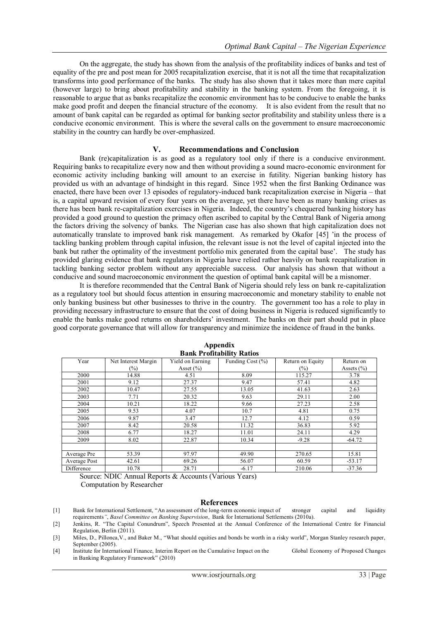On the aggregate, the study has shown from the analysis of the profitability indices of banks and test of equality of the pre and post mean for 2005 recapitalization exercise, that it is not all the time that recapitalization transforms into good performance of the banks. The study has also shown that it takes more than mere capital (however large) to bring about profitability and stability in the banking system. From the foregoing, it is reasonable to argue that as banks recapitalize the economic environment has to be conducive to enable the banks make good profit and deepen the financial structure of the economy. It is also evident from the result that no amount of bank capital can be regarded as optimal for banking sector profitability and stability unless there is a conducive economic environment. This is where the several calls on the government to ensure macroeconomic stability in the country can hardly be over-emphasized.

#### **V. Recommendations and Conclusion**

Bank (re)capitalization is as good as a regulatory tool only if there is a conducive environment. Requiring banks to recapitalize every now and then without providing a sound macro-economic environment for economic activity including banking will amount to an exercise in futility. Nigerian banking history has provided us with an advantage of hindsight in this regard. Since 1952 when the first Banking Ordinance was enacted, there have been over 13 episodes of regulatory-induced bank recapitalization exercise in Nigeria – that is, a capital upward revision of every four years on the average, yet there have been as many banking crises as there has been bank re-capitalization exercises in Nigeria. Indeed, the country"s chequered banking history has provided a good ground to question the primacy often ascribed to capital by the Central Bank of Nigeria among the factors driving the solvency of banks. The Nigerian case has also shown that high capitalization does not automatically translate to improved bank risk management. As remarked by Okafor [45] "in the process of tackling banking problem through capital infusion, the relevant issue is not the level of capital injected into the bank but rather the optimality of the investment portfolio mix generated from the capital base". The study has provided glaring evidence that bank regulators in Nigeria have relied rather heavily on bank recapitalization in tackling banking sector problem without any appreciable success. Our analysis has shown that without a conducive and sound macroeconomic environment the question of optimal bank capital will be a misnomer.

It is therefore recommended that the Central Bank of Nigeria should rely less on bank re-capitalization as a regulatory tool but should focus attention in ensuring macroeconomic and monetary stability to enable not only banking business but other businesses to thrive in the country. The government too has a role to play in providing necessary infrastructure to ensure that the cost of doing business in Nigeria is reduced significantly to enable the banks make good returns on shareholders' investment. The banks on their part should put in place good corporate governance that will allow for transparency and minimize the incidence of fraud in the banks.

| Year         | Net Interest Margin | Yield on Earning | Funding Cost (%) | Return on Equity | Return on      |  |  |  |
|--------------|---------------------|------------------|------------------|------------------|----------------|--|--|--|
|              | $(\%)$              | Asset $(\% )$    |                  | $(\%)$           | Assets $(\% )$ |  |  |  |
| 2000         | 14.88               | 4.51             | 8.09             | 115.27           | 3.78           |  |  |  |
| 2001         | 9.12                | 27.37            | 9.47             | 57.41            | 4.82           |  |  |  |
| 2002         | 10.47               | 27.55            | 13.05            | 41.63            | 2.63           |  |  |  |
| 2003         | 7.71                | 20.32            | 9.63             | 29.11            | 2.00           |  |  |  |
| 2004         | 10.21               | 18.22            | 9.66             | 27.23            | 2.58           |  |  |  |
| 2005         | 9.53                | 4.07             | 10.7             | 4.81             | 0.75           |  |  |  |
| 2006         | 9.87                | 3.47             | 12.7             | 4.12             | 0.59           |  |  |  |
| 2007         | 8.42                | 20.58            | 11.32            | 36.83            | 5.92           |  |  |  |
| 2008         | 6.77                | 18.27            | 11.01            | 24.11            | 4.29           |  |  |  |
| 2009         | 8.02                | 22.87            | 10.34            | $-9.28$          | $-64.72$       |  |  |  |
|              |                     |                  |                  |                  |                |  |  |  |
| Average Pre  | 53.39               | 97.97            | 49.90            | 270.65           | 15.81          |  |  |  |
| Average Post | 42.61               | 69.26            | 56.07            | 60.59            | $-53.17$       |  |  |  |
| Difference   | 10.78               | 28.71            | $-6.17$          | 210.06           | $-37.36$       |  |  |  |

**Appendix Bank Profitability Ratios**

Source: NDIC Annual Reports & Accounts (Various Years) Computation by Researcher

#### **References**

[1] Bank for International Settlement, "An assessment of the long-term economic impact of stronger capital and liquidity requirements*"*, *Basel Committee on Banking Supervision*, Bank for International Settlements (2010a).

[4] Institute for International Finance, Interim Report on the Cumulative Impact on the Global Economy of Proposed Changes in Banking Regulatory Framework" (2010)

<sup>[2]</sup> Jenkins, R. "The Capital Conundrum", Speech Presented at the Annual Conference of the International Centre for Financial Regulation, Berlin (2011).

<sup>[3]</sup> Miles, D., Pillonca,V., and Baker M., "What should equities and bonds be worth in a risky world", Morgan Stanley research paper, September (2005).